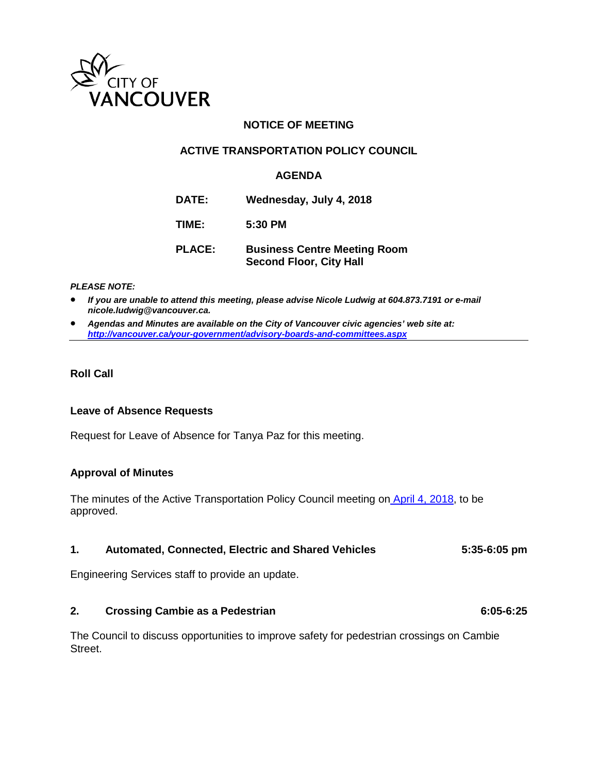

# **NOTICE OF MEETING**

# **ACTIVE TRANSPORTATION POLICY COUNCIL**

# **AGENDA**

**DATE: Wednesday, July 4, 2018**

**TIME: 5:30 PM**

**PLACE: Business Centre Meeting Room Second Floor, City Hall**

#### *PLEASE NOTE:*

• *If you are unable to attend this meeting, please advise Nicole Ludwig at 604.873.7191 or e-mail nicole.ludwig@vancouver.ca.*

• *Agendas and Minutes are available on the City of Vancouver civic agencies' web site at: <http://vancouver.ca/your-government/advisory-boards-and-committees.aspx>*

# **Roll Call**

### **Leave of Absence Requests**

Request for Leave of Absence for Tanya Paz for this meeting.

### **Approval of Minutes**

The minutes of the Active Transportation Policy Council meeting on [April 4, 2018,](http://vancouver.ca/docs/council/atpc20180404min.pdf) to be approved.

### **1. Automated, Connected, Electric and Shared Vehicles 5:35-6:05 pm**

Engineering Services staff to provide an update.

### **2. Crossing Cambie as a Pedestrian 6:05-6:25**

The Council to discuss opportunities to improve safety for pedestrian crossings on Cambie Street.